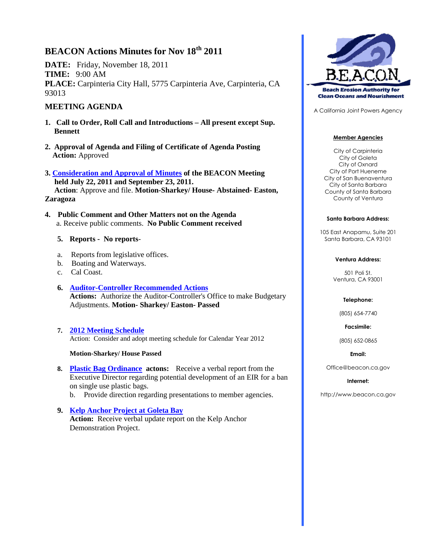# **BEACON Actions Minutes for Nov 18th 2011**

**DATE:** Friday, November 18, 2011 **TIME:** 9:00 AM **PLACE:** Carpinteria City Hall, 5775 Carpinteria Ave, Carpinteria, CA 93013

# **MEETING AGENDA**

- **1. Call to Order, Roll Call and Introductions – All present except Sup. Bennett**
- **2. Approval of Agenda and Filing of Certificate of Agenda Posting Action:** Approved
- **3. Consideration and Approval of Minutes of the BEACON Meeting held July 22, 2011 and September 23, 2011. Action**: Approve and file. **Motion-Sharkey/ House- Abstained- Easton, Zaragoza**
- **4. Public Comment and Other Matters not on the Agenda** a. Receive public comments. **No Public Comment received**

## **5. Reports - No reports**-

- a. Reports from legislative offices.
- b. Boating and Waterways.
- c. Cal Coast.
- **6. Auditor-Controller Recommended Actions Actions:** Authorize the Auditor-Controller's Office to make Budgetary Adjustments. **Motion- Sharkey/ Easton- Passed**
- **7. 2012 Meeting Schedule** Action: Consider and adopt meeting schedule for Calendar Year 2012

#### **Motion-Sharkey/ House Passed**

- **8. Plastic Bag Ordinance actons:** Receive a verbal report from the Executive Director regarding potential development of an EIR for a ban on single use plastic bags.
	- b. Provide direction regarding presentations to member agencies.
- **9. Kelp Anchor Project at Goleta Bay Action:** Receive verbal update report on the Kelp Anchor Demonstration Project.



A California Joint Powers Agency

#### **Member Agencies**

City of Carpinteria City of Goleta City of Oxnard City of Port Hueneme City of San Buenaventura City of Santa Barbara County of Santa Barbara County of Ventura

#### **Santa Barbara Address:**

105 East Anapamu, Suite 201 Santa Barbara, CA 93101

#### **Ventura Address:**

501 Poli St. Ventura, CA 93001

#### **Telephone:**

(805) 654-7740

**Facsimile:**

(805) 652-0865

**Email:**

Office@beacon.ca.gov

#### **Internet:**

http://www.beacon.ca.gov